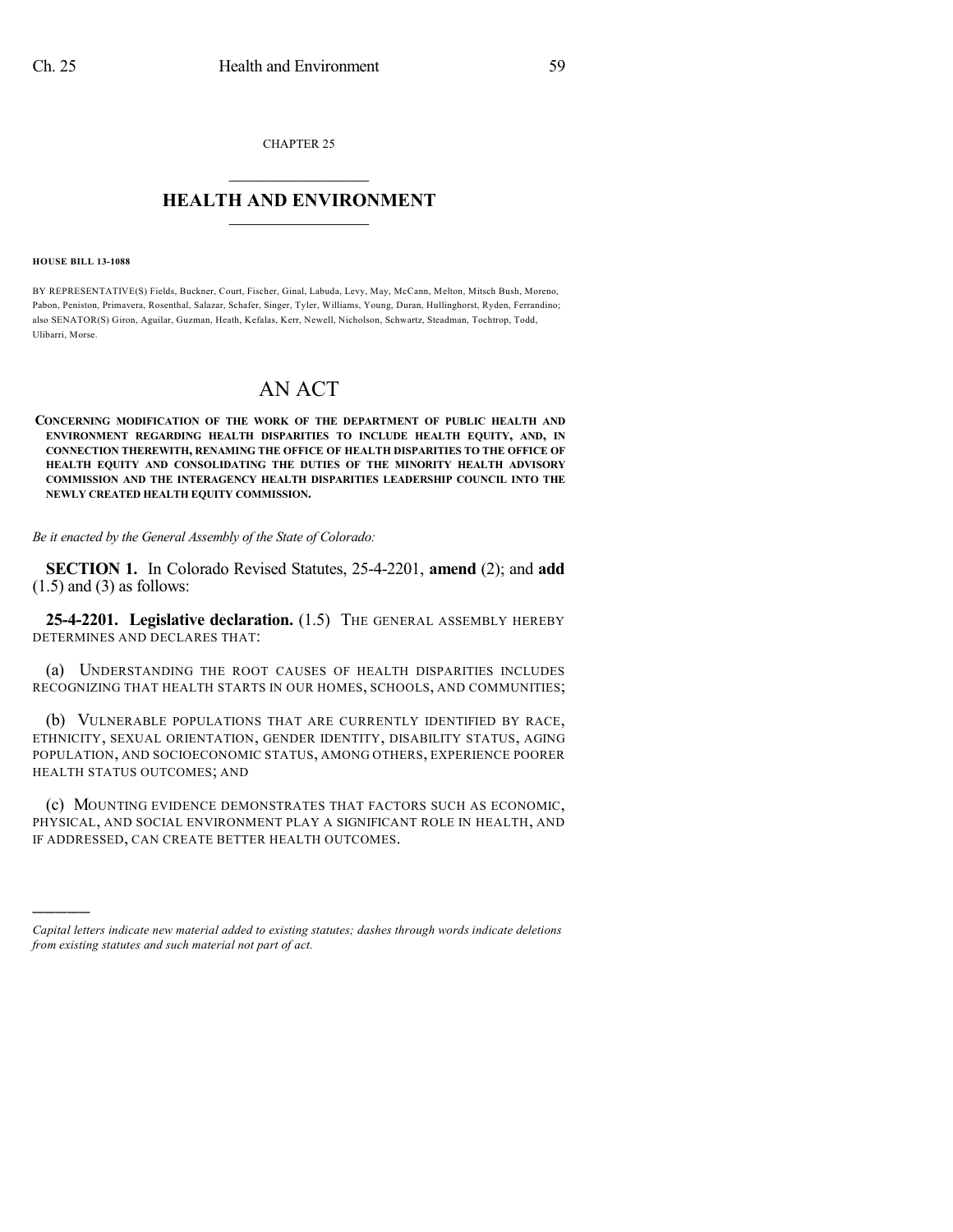CHAPTER 25

## $\mathcal{L}_\text{max}$  . The set of the set of the set of the set of the set of the set of the set of the set of the set of the set of the set of the set of the set of the set of the set of the set of the set of the set of the set **HEALTH AND ENVIRONMENT**  $\_$

## **HOUSE BILL 13-1088**

)))))

BY REPRESENTATIVE(S) Fields, Buckner, Court, Fischer, Ginal, Labuda, Levy, May, McCann, Melton, Mitsch Bush, Moreno, Pabon, Peniston, Primavera, Rosenthal, Salazar, Schafer, Singer, Tyler, Williams, Young, Duran, Hullinghorst, Ryden, Ferrandino; also SENATOR(S) Giron, Aguilar, Guzman, Heath, Kefalas, Kerr, Newell, Nicholson, Schwartz, Steadman, Tochtrop, Todd, Ulibarri, Morse.

## AN ACT

**CONCERNING MODIFICATION OF THE WORK OF THE DEPARTMENT OF PUBLIC HEALTH AND ENVIRONMENT REGARDING HEALTH DISPARITIES TO INCLUDE HEALTH EQUITY, AND, IN CONNECTION THEREWITH, RENAMING THE OFFICE OF HEALTH DISPARITIES TO THE OFFICE OF HEALTH EQUITY AND CONSOLIDATING THE DUTIES OF THE MINORITY HEALTH ADVISORY COMMISSION AND THE INTERAGENCY HEALTH DISPARITIES LEADERSHIP COUNCIL INTO THE NEWLY CREATED HEALTH EQUITY COMMISSION.**

*Be it enacted by the General Assembly of the State of Colorado:*

**SECTION 1.** In Colorado Revised Statutes, 25-4-2201, **amend** (2); and **add**  $(1.5)$  and  $(3)$  as follows:

**25-4-2201. Legislative declaration.** (1.5) THE GENERAL ASSEMBLY HEREBY DETERMINES AND DECLARES THAT:

(a) UNDERSTANDING THE ROOT CAUSES OF HEALTH DISPARITIES INCLUDES RECOGNIZING THAT HEALTH STARTS IN OUR HOMES, SCHOOLS, AND COMMUNITIES;

(b) VULNERABLE POPULATIONS THAT ARE CURRENTLY IDENTIFIED BY RACE, ETHNICITY, SEXUAL ORIENTATION, GENDER IDENTITY, DISABILITY STATUS, AGING POPULATION, AND SOCIOECONOMIC STATUS, AMONG OTHERS, EXPERIENCE POORER HEALTH STATUS OUTCOMES; AND

(c) MOUNTING EVIDENCE DEMONSTRATES THAT FACTORS SUCH AS ECONOMIC, PHYSICAL, AND SOCIAL ENVIRONMENT PLAY A SIGNIFICANT ROLE IN HEALTH, AND IF ADDRESSED, CAN CREATE BETTER HEALTH OUTCOMES.

*Capital letters indicate new material added to existing statutes; dashes through words indicate deletions from existing statutes and such material not part of act.*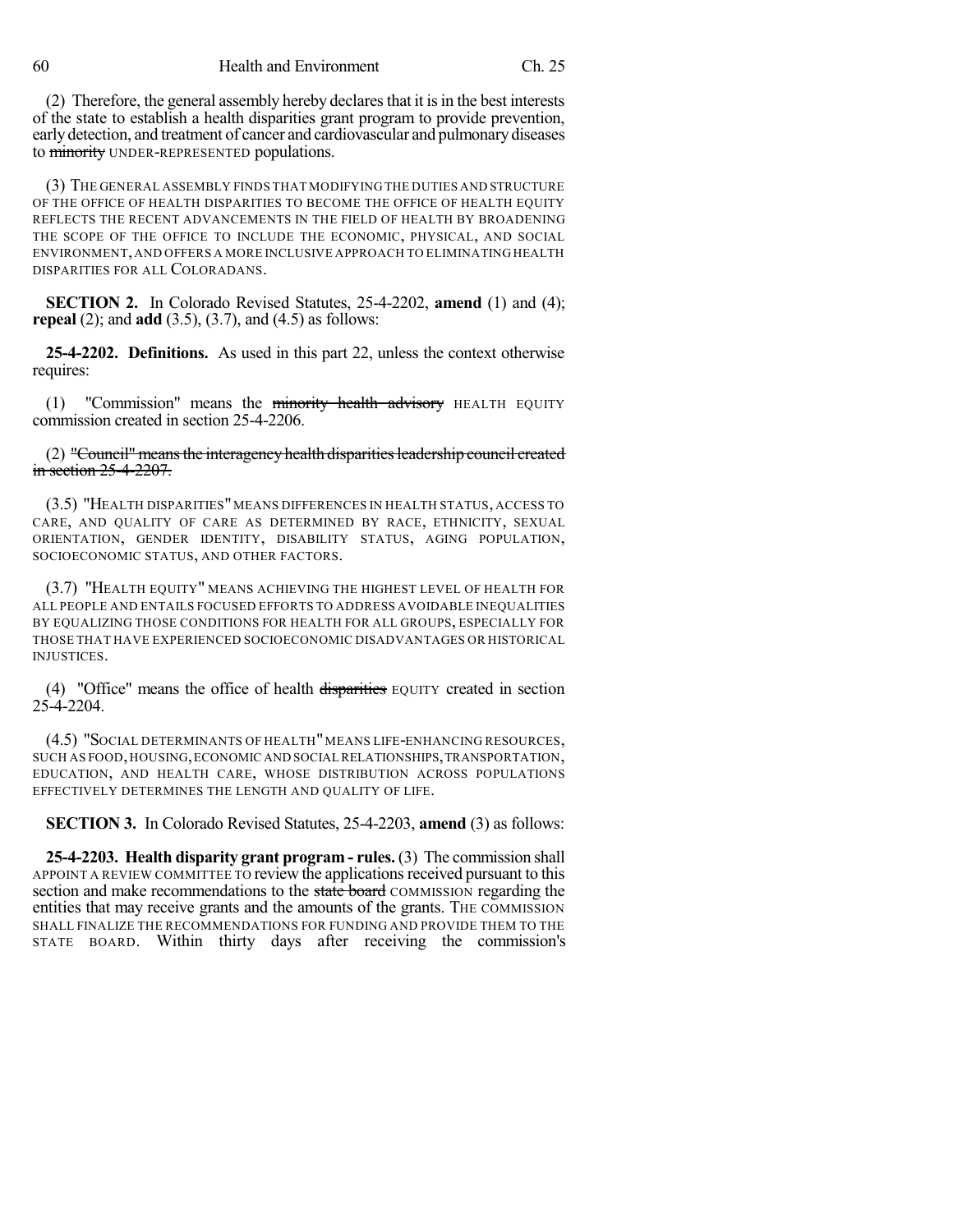(2) Therefore, the general assembly hereby declares that it is in the best interests of the state to establish a health disparities grant program to provide prevention, earlydetection, and treatment of cancer and cardiovascular and pulmonarydiseases to minority UNDER-REPRESENTED populations.

(3) THE GENERAL ASSEMBLY FINDS THAT MODIFYING THE DUTIES AND STRUCTURE OF THE OFFICE OF HEALTH DISPARITIES TO BECOME THE OFFICE OF HEALTH EQUITY REFLECTS THE RECENT ADVANCEMENTS IN THE FIELD OF HEALTH BY BROADENING THE SCOPE OF THE OFFICE TO INCLUDE THE ECONOMIC, PHYSICAL, AND SOCIAL ENVIRONMENT,AND OFFERS A MORE INCLUSIVE APPROACH TO ELIMINATING HEALTH DISPARITIES FOR ALL COLORADANS.

**SECTION 2.** In Colorado Revised Statutes, 25-4-2202, **amend** (1) and (4); **repeal** (2); and **add** (3.5), (3.7), and (4.5) as follows:

**25-4-2202. Definitions.** As used in this part 22, unless the context otherwise requires:

 $(1)$  "Commission" means the minority health advisory HEALTH EQUITY commission created in section 25-4-2206.

(2) "Council" means the interagency health disparities leadership council created in section 25-4-2207.

(3.5) "HEALTH DISPARITIES" MEANS DIFFERENCES IN HEALTH STATUS, ACCESS TO CARE, AND QUALITY OF CARE AS DETERMINED BY RACE, ETHNICITY, SEXUAL ORIENTATION, GENDER IDENTITY, DISABILITY STATUS, AGING POPULATION, SOCIOECONOMIC STATUS, AND OTHER FACTORS.

(3.7) "HEALTH EQUITY" MEANS ACHIEVING THE HIGHEST LEVEL OF HEALTH FOR ALL PEOPLE AND ENTAILS FOCUSED EFFORTS TO ADDRESS AVOIDABLE INEQUALITIES BY EQUALIZING THOSE CONDITIONS FOR HEALTH FOR ALL GROUPS, ESPECIALLY FOR THOSE THAT HAVE EXPERIENCED SOCIOECONOMIC DISADVANTAGES OR HISTORICAL INJUSTICES.

(4) "Office" means the office of health disparities EQUITY created in section 25-4-2204.

(4.5) "SOCIAL DETERMINANTS OF HEALTH"MEANS LIFE-ENHANCING RESOURCES, SUCH AS FOOD,HOUSING,ECONOMIC AND SOCIAL RELATIONSHIPS,TRANSPORTATION, EDUCATION, AND HEALTH CARE, WHOSE DISTRIBUTION ACROSS POPULATIONS EFFECTIVELY DETERMINES THE LENGTH AND QUALITY OF LIFE.

**SECTION 3.** In Colorado Revised Statutes, 25-4-2203, **amend** (3) as follows:

**25-4-2203. Health disparity grant program - rules.** (3) The commission shall APPOINT A REVIEW COMMITTEE TO review the applicationsreceived pursuant to this section and make recommendations to the state board COMMISSION regarding the entities that may receive grants and the amounts of the grants. The COMMISSION SHALL FINALIZE THE RECOMMENDATIONS FOR FUNDING AND PROVIDE THEM TO THE STATE BOARD. Within thirty days after receiving the commission's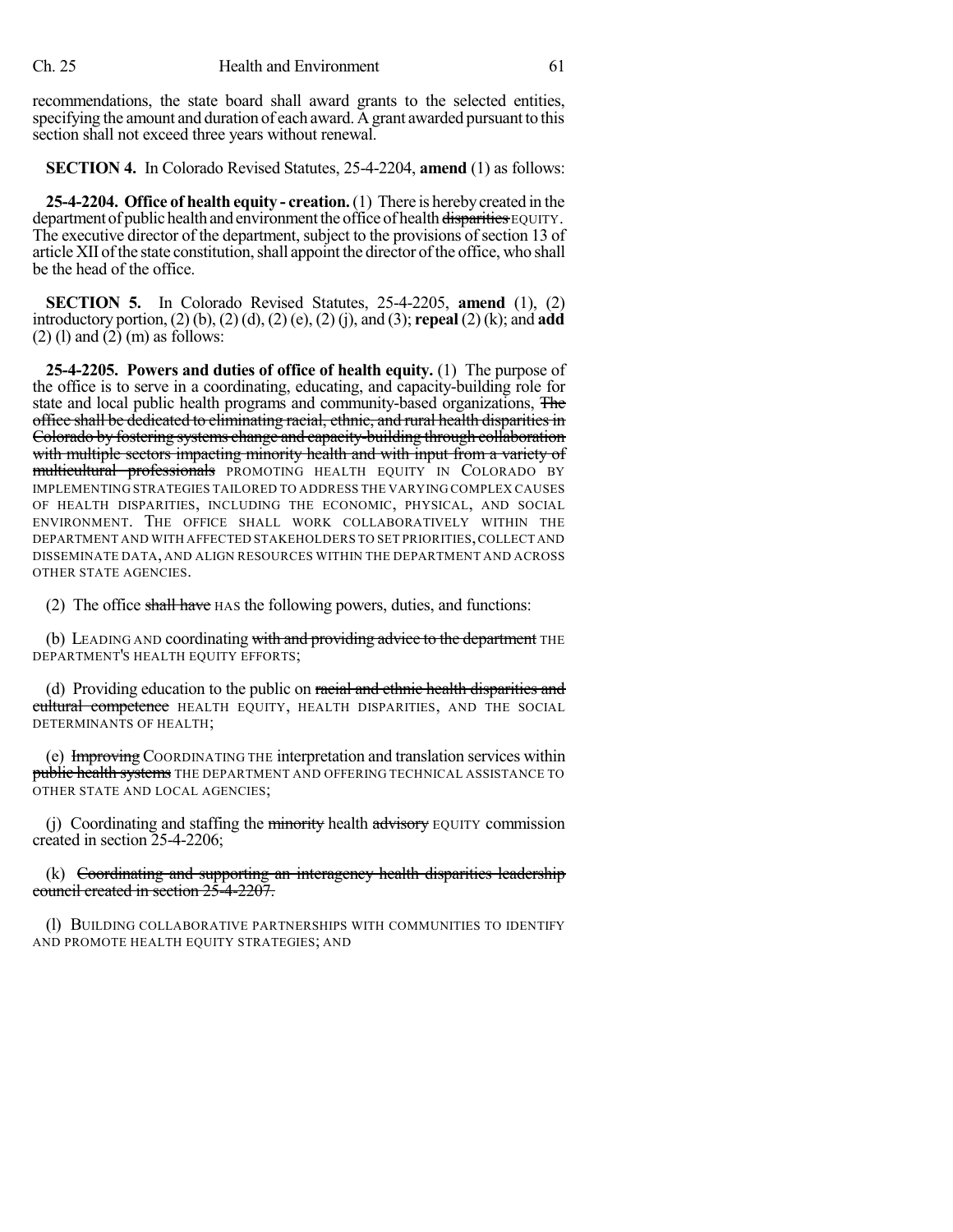recommendations, the state board shall award grants to the selected entities, specifying the amount and duration of each award. Agrant awarded pursuant to this section shall not exceed three years without renewal.

**SECTION 4.** In Colorado Revised Statutes, 25-4-2204, **amend** (1) as follows:

**25-4-2204. Office of health equity - creation.**(1) There is herebycreated in the department of public health and environment the office of health disparities EQUITY. The executive director of the department, subject to the provisions of section 13 of article XII of the state constitution, shall appoint the director of the office, who shall be the head of the office.

**SECTION 5.** In Colorado Revised Statutes, 25-4-2205, **amend** (1), (2) introductory portion, (2) (b), (2) (d), (2) (e), (2) (j), and (3); **repeal** (2) (k); and **add**  $(2)$  (1) and  $(2)$  (m) as follows:

**25-4-2205. Powers and duties of office of health equity.** (1) The purpose of the office is to serve in a coordinating, educating, and capacity-building role for state and local public health programs and community-based organizations, The office shall be dedicated to eliminating racial, ethnic, and rural health disparitiesin Colorado by fostering systems change and capacity-building through collaboration with multiple sectors impacting minority health and with input from a variety of multicultural professionals PROMOTING HEALTH EQUITY IN COLORADO BY IMPLEMENTING STRATEGIES TAILORED TO ADDRESS THE VARYING COMPLEX CAUSES OF HEALTH DISPARITIES, INCLUDING THE ECONOMIC, PHYSICAL, AND SOCIAL ENVIRONMENT. THE OFFICE SHALL WORK COLLABORATIVELY WITHIN THE DEPARTMENT AND WITH AFFECTED STAKEHOLDERS TO SET PRIORITIES,COLLECT AND DISSEMINATE DATA, AND ALIGN RESOURCES WITHIN THE DEPARTMENT AND ACROSS OTHER STATE AGENCIES.

(2) The office shall have HAS the following powers, duties, and functions:

(b) LEADING AND coordinating with and providing advice to the department THE DEPARTMENT'S HEALTH EQUITY EFFORTS;

(d) Providing education to the public on racial and ethnic health disparities and cultural competence HEALTH EQUITY, HEALTH DISPARITIES, AND THE SOCIAL DETERMINANTS OF HEALTH;

(e) Improving COORDINATING THE interpretation and translation services within public health systems THE DEPARTMENT AND OFFERING TECHNICAL ASSISTANCE TO OTHER STATE AND LOCAL AGENCIES;

(j) Coordinating and staffing the minority health advisory EQUITY commission created in section 25-4-2206;

(k) Coordinating and supporting an interagency health disparities leadership council created in section 25-4-2207.

(l) BUILDING COLLABORATIVE PARTNERSHIPS WITH COMMUNITIES TO IDENTIFY AND PROMOTE HEALTH EQUITY STRATEGIES; AND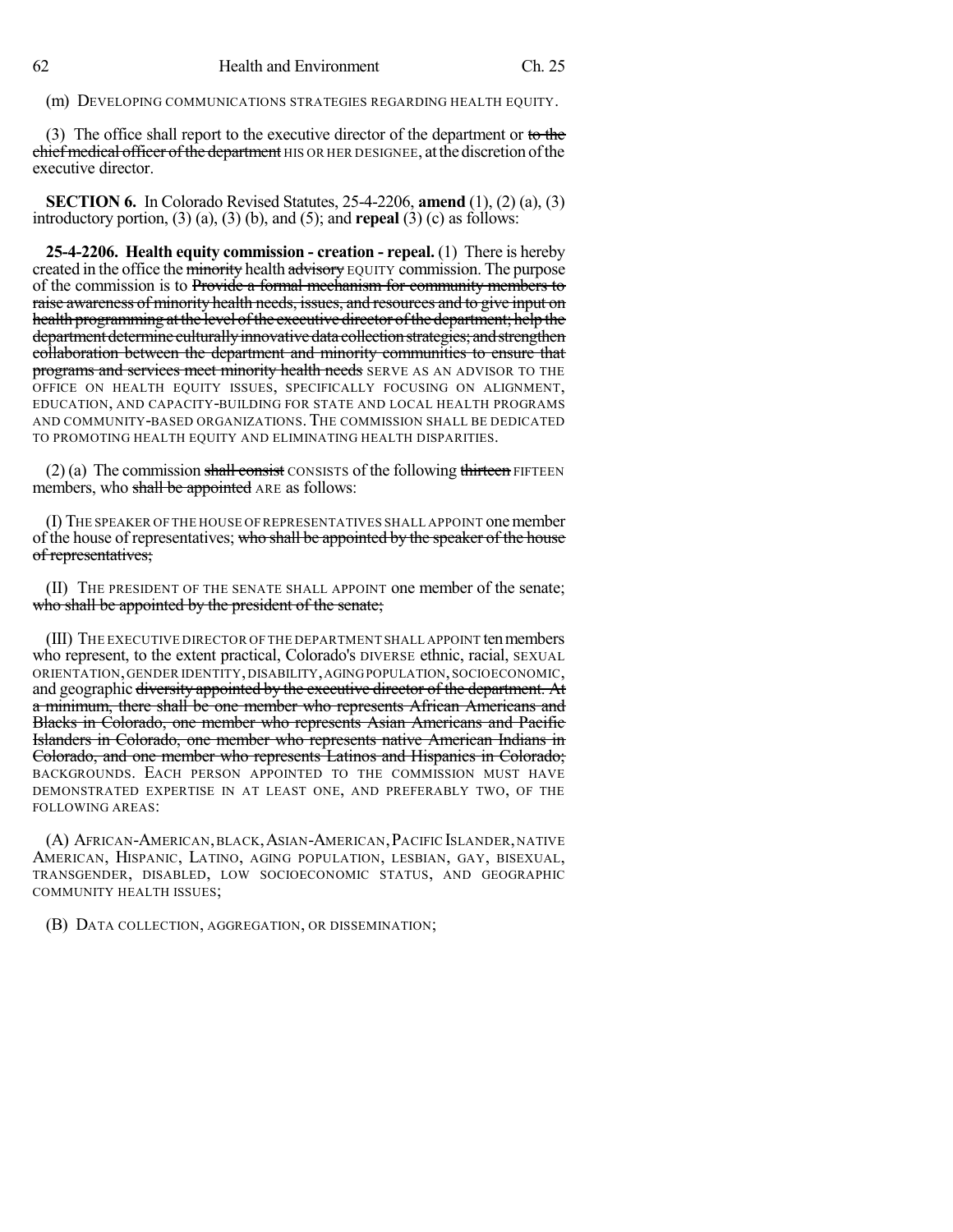(m) DEVELOPING COMMUNICATIONS STRATEGIES REGARDING HEALTH EQUITY.

(3) The office shall report to the executive director of the department or to the chief medical officer of the department HIS OR HER DESIGNEE, at the discretion of the executive director.

**SECTION 6.** In Colorado Revised Statutes, 25-4-2206, **amend** (1), (2) (a), (3) introductory portion, (3) (a), (3) (b), and (5); and **repeal** (3) (c) as follows:

**25-4-2206. Health equity commission - creation - repeal.** (1) There is hereby created in the office the minority health advisory EQUITY commission. The purpose of the commission is to Provide a formal mechanism for community members to raise awareness of minority health needs, issues, and resources and to give input on health programming at the level of the executive director of the department; help the department determine culturally innovative data collection strategies; and strengthen collaboration between the department and minority communities to ensure that programs and services meet minority health needs SERVE AS AN ADVISOR TO THE OFFICE ON HEALTH EQUITY ISSUES, SPECIFICALLY FOCUSING ON ALIGNMENT, EDUCATION, AND CAPACITY-BUILDING FOR STATE AND LOCAL HEALTH PROGRAMS AND COMMUNITY-BASED ORGANIZATIONS.THE COMMISSION SHALL BE DEDICATED TO PROMOTING HEALTH EQUITY AND ELIMINATING HEALTH DISPARITIES.

 $(2)$  (a) The commission shall consist CONSISTS of the following thirteen FIFTEEN members, who shall be appointed ARE as follows:

(I) THE SPEAKER OF THE HOUSE OF REPRESENTATIVES SHALL APPOINT onemember of the house of representatives; who shall be appointed by the speaker of the house of representatives;

(II) THE PRESIDENT OF THE SENATE SHALL APPOINT one member of the senate; who shall be appointed by the president of the senate;

(III) THE EXECUTIVE DIRECTOR OF THE DEPARTMENT SHALL APPOINT ten members who represent, to the extent practical, Colorado's DIVERSE ethnic, racial, SEXUAL ORIENTATION,GENDER IDENTITY,DISABILITY,AGINGPOPULATION,SOCIOECONOMIC, and geographic diversity appointed by the executive director of the department. At a minimum, there shall be one member who represents African Americans and Blacks in Colorado, one member who represents Asian Americans and Pacific Islanders in Colorado, one member who represents native American Indians in Colorado, and one member who represents Latinos and Hispanics in Colorado; BACKGROUNDS. EACH PERSON APPOINTED TO THE COMMISSION MUST HAVE DEMONSTRATED EXPERTISE IN AT LEAST ONE, AND PREFERABLY TWO, OF THE FOLLOWING AREAS:

(A) AFRICAN-AMERICAN,BLACK,ASIAN-AMERICAN,PACIFIC ISLANDER,NATIVE AMERICAN, HISPANIC, LATINO, AGING POPULATION, LESBIAN, GAY, BISEXUAL, TRANSGENDER, DISABLED, LOW SOCIOECONOMIC STATUS, AND GEOGRAPHIC COMMUNITY HEALTH ISSUES;

(B) DATA COLLECTION, AGGREGATION, OR DISSEMINATION;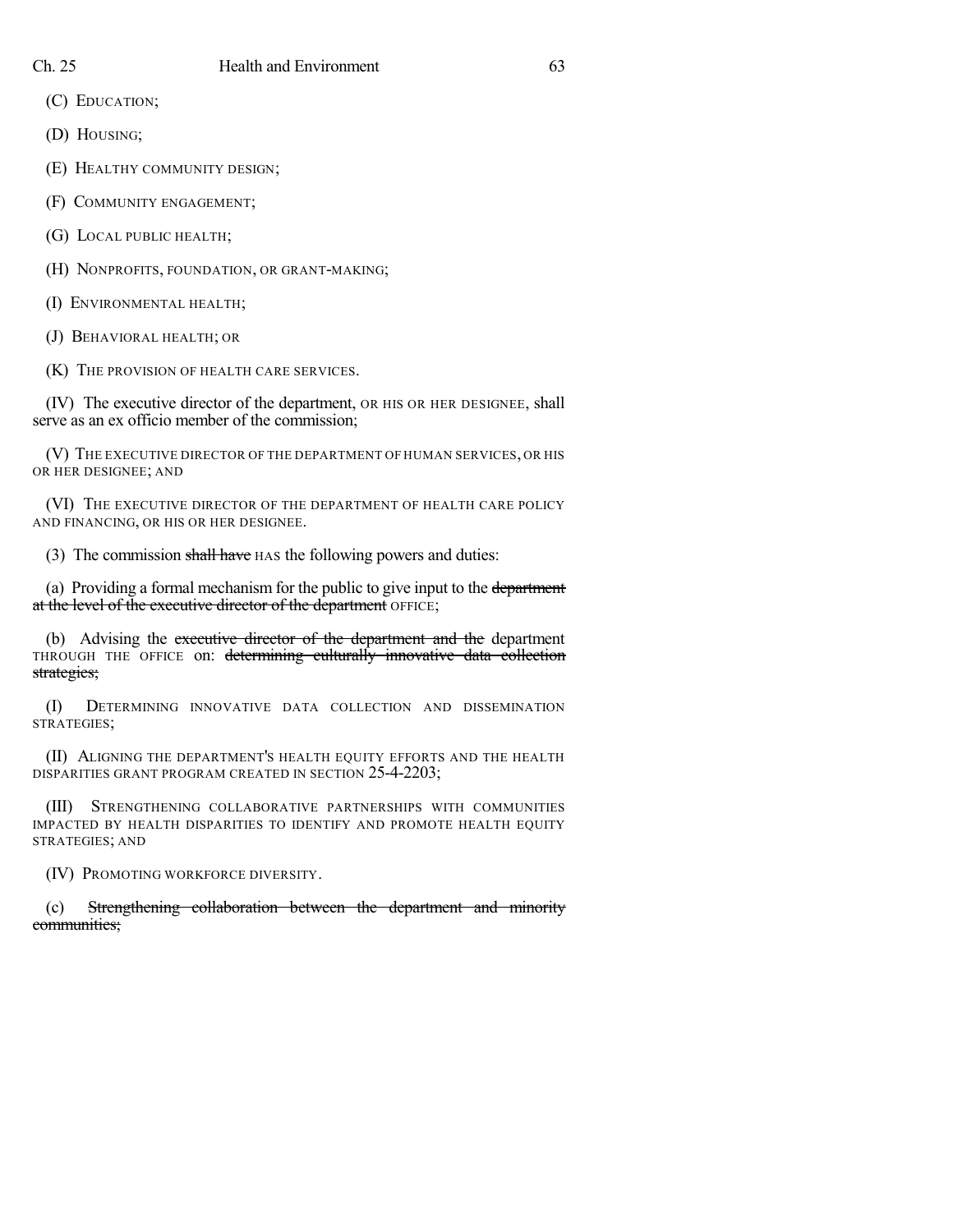(C) EDUCATION;

(D) HOUSING;

(E) HEALTHY COMMUNITY DESIGN;

(F) COMMUNITY ENGAGEMENT;

(G) LOCAL PUBLIC HEALTH;

(H) NONPROFITS, FOUNDATION, OR GRANT-MAKING;

(I) ENVIRONMENTAL HEALTH;

(J) BEHAVIORAL HEALTH; OR

(K) THE PROVISION OF HEALTH CARE SERVICES.

(IV) The executive director of the department, OR HIS OR HER DESIGNEE, shall serve as an ex officio member of the commission;

(V) THE EXECUTIVE DIRECTOR OF THE DEPARTMENT OF HUMAN SERVICES, OR HIS OR HER DESIGNEE; AND

(VI) THE EXECUTIVE DIRECTOR OF THE DEPARTMENT OF HEALTH CARE POLICY AND FINANCING, OR HIS OR HER DESIGNEE.

(3) The commission shall have HAS the following powers and duties:

(a) Providing a formal mechanism for the public to give input to the department at the level of the executive director of the department OFFICE;

(b) Advising the executive director of the department and the department THROUGH THE OFFICE on: determining culturally innovative data collection strategies;

(I) DETERMINING INNOVATIVE DATA COLLECTION AND DISSEMINATION STRATEGIES;

(II) ALIGNING THE DEPARTMENT'S HEALTH EQUITY EFFORTS AND THE HEALTH DISPARITIES GRANT PROGRAM CREATED IN SECTION 25-4-2203;

(III) STRENGTHENING COLLABORATIVE PARTNERSHIPS WITH COMMUNITIES IMPACTED BY HEALTH DISPARITIES TO IDENTIFY AND PROMOTE HEALTH EQUITY STRATEGIES; AND

(IV) PROMOTING WORKFORCE DIVERSITY.

(c) Strengthening collaboration between the department and minority communities;